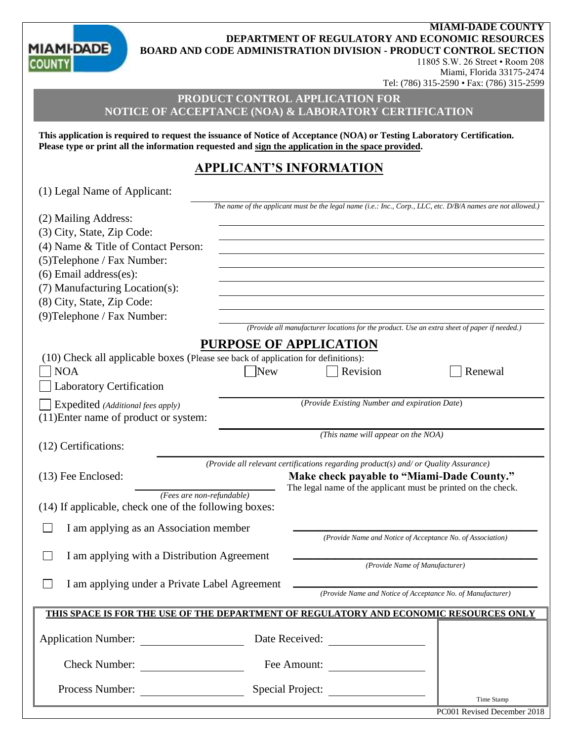**MIAMI-DADE COUNTY DEPARTMENT OF REGULATORY AND ECONOMIC RESOURCES BOARD AND CODE ADMINISTRATION DIVISION - PRODUCT CONTROL SECTION**

**MIAMI-DADE COUN** 

 $(1)$  Legal Name of Applicants

# 11805 S.W. 26 Street • Room 208 Miami, Florida 33175-2474 Tel: (786) 315-2590 • Fax: (786) 315-2599

# **PRODUCT CONTROL APPLICATION FOR NOTICE OF ACCEPTANCE (NOA) & LABORATORY CERTIFICATION**

**This application is required to request the issuance of Notice of Acceptance (NOA) or Testing Laboratory Certification. Please type or print all the information requested and sign the application in the space provided.**

# **APPLICANT'S INFORMATION**

| (1) Legal Ivanie of Applicant.                                                                                                    |            |                                                                                              |                                                                                                              |  |  |
|-----------------------------------------------------------------------------------------------------------------------------------|------------|----------------------------------------------------------------------------------------------|--------------------------------------------------------------------------------------------------------------|--|--|
|                                                                                                                                   |            |                                                                                              | The name of the applicant must be the legal name (i.e.: Inc., Corp., LLC, etc. D/B/A names are not allowed.) |  |  |
| (2) Mailing Address:                                                                                                              |            |                                                                                              |                                                                                                              |  |  |
| (3) City, State, Zip Code:                                                                                                        |            |                                                                                              |                                                                                                              |  |  |
| (4) Name & Title of Contact Person:                                                                                               |            |                                                                                              |                                                                                                              |  |  |
| (5) Telephone / Fax Number:                                                                                                       |            |                                                                                              |                                                                                                              |  |  |
| $(6)$ Email address $(es)$ :                                                                                                      |            |                                                                                              |                                                                                                              |  |  |
| (7) Manufacturing Location(s):                                                                                                    |            |                                                                                              |                                                                                                              |  |  |
| (8) City, State, Zip Code:                                                                                                        |            |                                                                                              |                                                                                                              |  |  |
| (9) Telephone / Fax Number:                                                                                                       |            |                                                                                              |                                                                                                              |  |  |
|                                                                                                                                   |            | (Provide all manufacturer locations for the product. Use an extra sheet of paper if needed.) |                                                                                                              |  |  |
|                                                                                                                                   |            | <b>PURPOSE OF APPLICATION</b>                                                                |                                                                                                              |  |  |
| (10) Check all applicable boxes (Please see back of application for definitions):                                                 |            |                                                                                              |                                                                                                              |  |  |
| <b>NOA</b>                                                                                                                        | <b>New</b> | Revision                                                                                     | Renewal                                                                                                      |  |  |
| <b>Laboratory Certification</b>                                                                                                   |            |                                                                                              |                                                                                                              |  |  |
| Expedited (Additional fees apply)                                                                                                 |            | (Provide Existing Number and expiration Date)                                                |                                                                                                              |  |  |
| (11) Enter name of product or system:                                                                                             |            |                                                                                              |                                                                                                              |  |  |
|                                                                                                                                   |            | (This name will appear on the NOA)                                                           |                                                                                                              |  |  |
| (12) Certifications:                                                                                                              |            |                                                                                              |                                                                                                              |  |  |
|                                                                                                                                   |            |                                                                                              |                                                                                                              |  |  |
|                                                                                                                                   |            | (Provide all relevant certifications regarding product(s) and/ or Quality Assurance)         |                                                                                                              |  |  |
| Make check payable to "Miami-Dade County."<br>(13) Fee Enclosed:<br>The legal name of the applicant must be printed on the check. |            |                                                                                              |                                                                                                              |  |  |
| (Fees are non-refundable)                                                                                                         |            |                                                                                              |                                                                                                              |  |  |
| (14) If applicable, check one of the following boxes:                                                                             |            |                                                                                              |                                                                                                              |  |  |
| I am applying as an Association member                                                                                            |            |                                                                                              |                                                                                                              |  |  |
|                                                                                                                                   |            | (Provide Name and Notice of Acceptance No. of Association)                                   |                                                                                                              |  |  |
| I am applying with a Distribution Agreement                                                                                       |            |                                                                                              |                                                                                                              |  |  |
|                                                                                                                                   |            | (Provide Name of Manufacturer)                                                               |                                                                                                              |  |  |
| I am applying under a Private Label Agreement                                                                                     |            |                                                                                              |                                                                                                              |  |  |
|                                                                                                                                   |            | (Provide Name and Notice of Acceptance No. of Manufacturer)                                  |                                                                                                              |  |  |
|                                                                                                                                   |            |                                                                                              |                                                                                                              |  |  |
| <u>THIS SPACE IS FOR THE USE OF THE DEPARTMENT OF REGULATORY AND ECONOMIC RESOURCES ONLY</u>                                      |            |                                                                                              |                                                                                                              |  |  |
| <b>Application Number:</b><br>Date Received:                                                                                      |            |                                                                                              |                                                                                                              |  |  |
|                                                                                                                                   |            |                                                                                              |                                                                                                              |  |  |
| <b>Check Number:</b><br>Fee Amount:<br><u> 1990 - Jan Barbara III, martxa</u>                                                     |            |                                                                                              |                                                                                                              |  |  |
|                                                                                                                                   |            |                                                                                              |                                                                                                              |  |  |
| Special Project:<br>Process Number:                                                                                               |            |                                                                                              |                                                                                                              |  |  |
|                                                                                                                                   |            |                                                                                              |                                                                                                              |  |  |